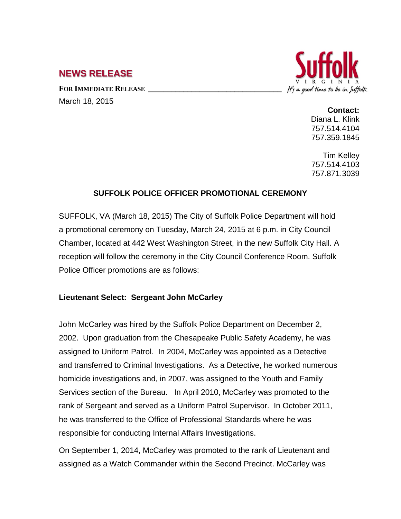# **NEWS RELEASE**

FOR **IMMEDIATE RELEASE** March 18, 2015



**Contact:** Diana L. Klink 757.514.4104

Tim Kelley 757.514.4103

757.871.3039

757.359.1845

## **SUFFOLK POLICE OFFICER PROMOTIONAL CEREMONY**

SUFFOLK, VA (March 18, 2015) The City of Suffolk Police Department will hold a promotional ceremony on Tuesday, March 24, 2015 at 6 p.m. in City Council Chamber, located at 442 West Washington Street, in the new Suffolk City Hall. A reception will follow the ceremony in the City Council Conference Room. Suffolk Police Officer promotions are as follows:

### **Lieutenant Select: Sergeant John McCarley**

John McCarley was hired by the Suffolk Police Department on December 2, 2002. Upon graduation from the Chesapeake Public Safety Academy, he was assigned to Uniform Patrol. In 2004, McCarley was appointed as a Detective and transferred to Criminal Investigations. As a Detective, he worked numerous homicide investigations and, in 2007, was assigned to the Youth and Family Services section of the Bureau. In April 2010, McCarley was promoted to the rank of Sergeant and served as a Uniform Patrol Supervisor. In October 2011, he was transferred to the Office of Professional Standards where he was responsible for conducting Internal Affairs Investigations.

On September 1, 2014, McCarley was promoted to the rank of Lieutenant and assigned as a Watch Commander within the Second Precinct. McCarley was